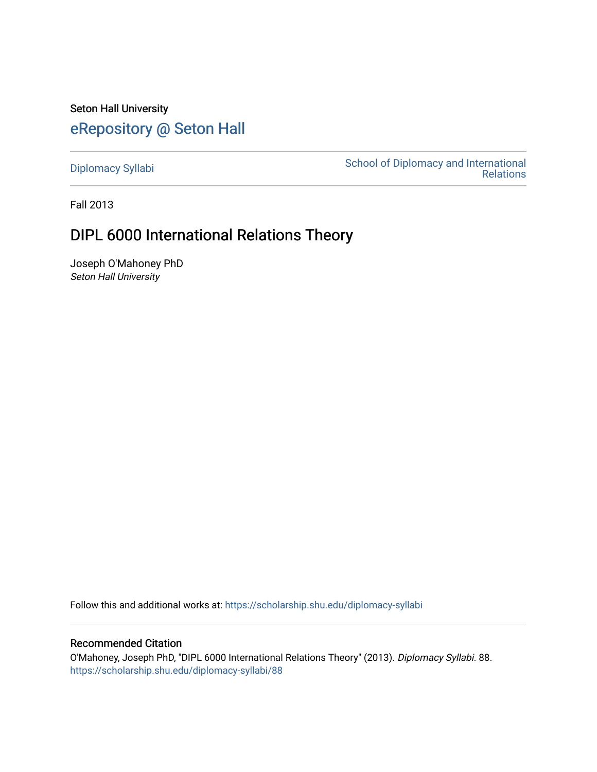Seton Hall University [eRepository @ Seton Hall](https://scholarship.shu.edu/)

[Diplomacy Syllabi](https://scholarship.shu.edu/diplomacy-syllabi) [School of Diplomacy and International](https://scholarship.shu.edu/diplomacy)  [Relations](https://scholarship.shu.edu/diplomacy) 

Fall 2013

# DIPL 6000 International Relations Theory

Joseph O'Mahoney PhD Seton Hall University

Follow this and additional works at: [https://scholarship.shu.edu/diplomacy-syllabi](https://scholarship.shu.edu/diplomacy-syllabi?utm_source=scholarship.shu.edu%2Fdiplomacy-syllabi%2F88&utm_medium=PDF&utm_campaign=PDFCoverPages) 

### Recommended Citation

O'Mahoney, Joseph PhD, "DIPL 6000 International Relations Theory" (2013). Diplomacy Syllabi. 88. [https://scholarship.shu.edu/diplomacy-syllabi/88](https://scholarship.shu.edu/diplomacy-syllabi/88?utm_source=scholarship.shu.edu%2Fdiplomacy-syllabi%2F88&utm_medium=PDF&utm_campaign=PDFCoverPages)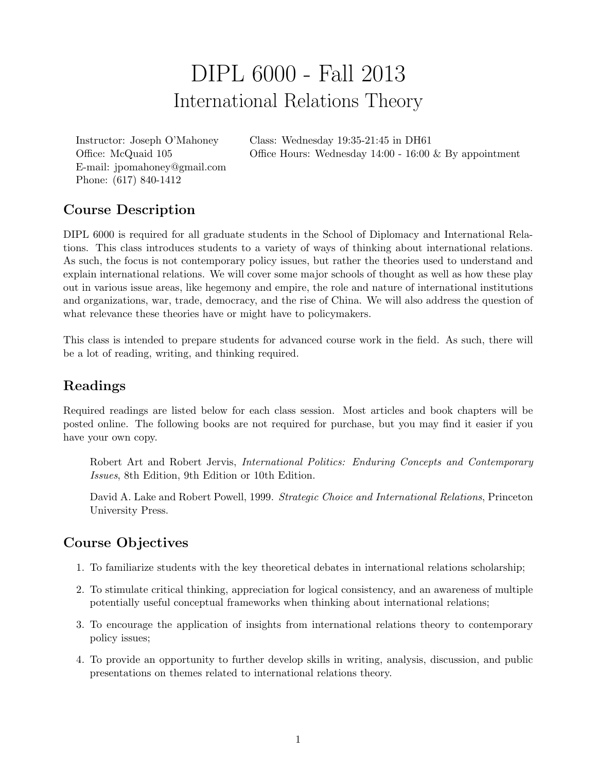# DIPL 6000 - Fall 2013 International Relations Theory

Instructor: Joseph O'Mahoney Office: McQuaid 105 E-mail: jpomahoney@gmail.com Phone: (617) 840-1412

Class: Wednesday 19:35-21:45 in DH61 Office Hours: Wednesday 14:00 - 16:00 & By appointment

# Course Description

DIPL 6000 is required for all graduate students in the School of Diplomacy and International Relations. This class introduces students to a variety of ways of thinking about international relations. As such, the focus is not contemporary policy issues, but rather the theories used to understand and explain international relations. We will cover some major schools of thought as well as how these play out in various issue areas, like hegemony and empire, the role and nature of international institutions and organizations, war, trade, democracy, and the rise of China. We will also address the question of what relevance these theories have or might have to policymakers.

This class is intended to prepare students for advanced course work in the field. As such, there will be a lot of reading, writing, and thinking required.

# Readings

Required readings are listed below for each class session. Most articles and book chapters will be posted online. The following books are not required for purchase, but you may find it easier if you have your own copy.

Robert Art and Robert Jervis, *International Politics: Enduring Concepts and Contemporary* Issues, 8th Edition, 9th Edition or 10th Edition.

David A. Lake and Robert Powell, 1999. Strategic Choice and International Relations, Princeton University Press.

# Course Objectives

- 1. To familiarize students with the key theoretical debates in international relations scholarship;
- 2. To stimulate critical thinking, appreciation for logical consistency, and an awareness of multiple potentially useful conceptual frameworks when thinking about international relations;
- 3. To encourage the application of insights from international relations theory to contemporary policy issues;
- 4. To provide an opportunity to further develop skills in writing, analysis, discussion, and public presentations on themes related to international relations theory.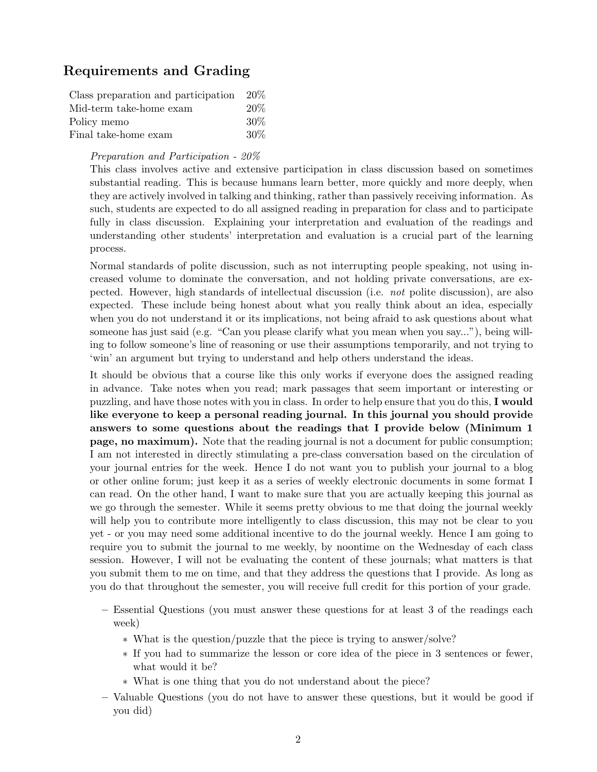# Requirements and Grading

| Class preparation and participation | - 20%  |
|-------------------------------------|--------|
| Mid-term take-home exam             | $20\%$ |
| Policy memo                         | $30\%$ |
| Final take-home exam                | $30\%$ |

#### Preparation and Participation - 20%

This class involves active and extensive participation in class discussion based on sometimes substantial reading. This is because humans learn better, more quickly and more deeply, when they are actively involved in talking and thinking, rather than passively receiving information. As such, students are expected to do all assigned reading in preparation for class and to participate fully in class discussion. Explaining your interpretation and evaluation of the readings and understanding other students' interpretation and evaluation is a crucial part of the learning process.

Normal standards of polite discussion, such as not interrupting people speaking, not using increased volume to dominate the conversation, and not holding private conversations, are expected. However, high standards of intellectual discussion (i.e. not polite discussion), are also expected. These include being honest about what you really think about an idea, especially when you do not understand it or its implications, not being afraid to ask questions about what someone has just said (e.g. "Can you please clarify what you mean when you say..."), being willing to follow someone's line of reasoning or use their assumptions temporarily, and not trying to 'win' an argument but trying to understand and help others understand the ideas.

It should be obvious that a course like this only works if everyone does the assigned reading in advance. Take notes when you read; mark passages that seem important or interesting or puzzling, and have those notes with you in class. In order to help ensure that you do this, I would like everyone to keep a personal reading journal. In this journal you should provide answers to some questions about the readings that I provide below (Minimum 1 page, no maximum). Note that the reading journal is not a document for public consumption; I am not interested in directly stimulating a pre-class conversation based on the circulation of your journal entries for the week. Hence I do not want you to publish your journal to a blog or other online forum; just keep it as a series of weekly electronic documents in some format I can read. On the other hand, I want to make sure that you are actually keeping this journal as we go through the semester. While it seems pretty obvious to me that doing the journal weekly will help you to contribute more intelligently to class discussion, this may not be clear to you yet - or you may need some additional incentive to do the journal weekly. Hence I am going to require you to submit the journal to me weekly, by noontime on the Wednesday of each class session. However, I will not be evaluating the content of these journals; what matters is that you submit them to me on time, and that they address the questions that I provide. As long as you do that throughout the semester, you will receive full credit for this portion of your grade.

- Essential Questions (you must answer these questions for at least 3 of the readings each week)
	- ∗ What is the question/puzzle that the piece is trying to answer/solve?
	- ∗ If you had to summarize the lesson or core idea of the piece in 3 sentences or fewer, what would it be?
	- ∗ What is one thing that you do not understand about the piece?
- Valuable Questions (you do not have to answer these questions, but it would be good if you did)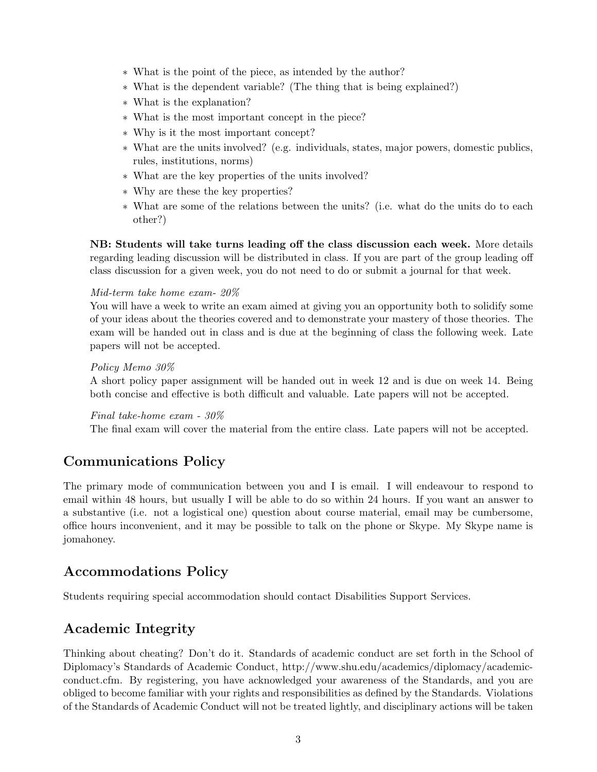- ∗ What is the point of the piece, as intended by the author?
- ∗ What is the dependent variable? (The thing that is being explained?)
- ∗ What is the explanation?
- ∗ What is the most important concept in the piece?
- ∗ Why is it the most important concept?
- ∗ What are the units involved? (e.g. individuals, states, major powers, domestic publics, rules, institutions, norms)
- ∗ What are the key properties of the units involved?
- ∗ Why are these the key properties?
- ∗ What are some of the relations between the units? (i.e. what do the units do to each other?)

NB: Students will take turns leading off the class discussion each week. More details regarding leading discussion will be distributed in class. If you are part of the group leading off class discussion for a given week, you do not need to do or submit a journal for that week.

#### Mid-term take home exam- 20%

You will have a week to write an exam aimed at giving you an opportunity both to solidify some of your ideas about the theories covered and to demonstrate your mastery of those theories. The exam will be handed out in class and is due at the beginning of class the following week. Late papers will not be accepted.

#### Policy Memo 30%

A short policy paper assignment will be handed out in week 12 and is due on week 14. Being both concise and effective is both difficult and valuable. Late papers will not be accepted.

#### Final take-home exam - 30%

The final exam will cover the material from the entire class. Late papers will not be accepted.

### Communications Policy

The primary mode of communication between you and I is email. I will endeavour to respond to email within 48 hours, but usually I will be able to do so within 24 hours. If you want an answer to a substantive (i.e. not a logistical one) question about course material, email may be cumbersome, office hours inconvenient, and it may be possible to talk on the phone or Skype. My Skype name is jomahoney.

### Accommodations Policy

Students requiring special accommodation should contact Disabilities Support Services.

### Academic Integrity

Thinking about cheating? Don't do it. Standards of academic conduct are set forth in the School of Diplomacy's Standards of Academic Conduct, http://www.shu.edu/academics/diplomacy/academicconduct.cfm. By registering, you have acknowledged your awareness of the Standards, and you are obliged to become familiar with your rights and responsibilities as defined by the Standards. Violations of the Standards of Academic Conduct will not be treated lightly, and disciplinary actions will be taken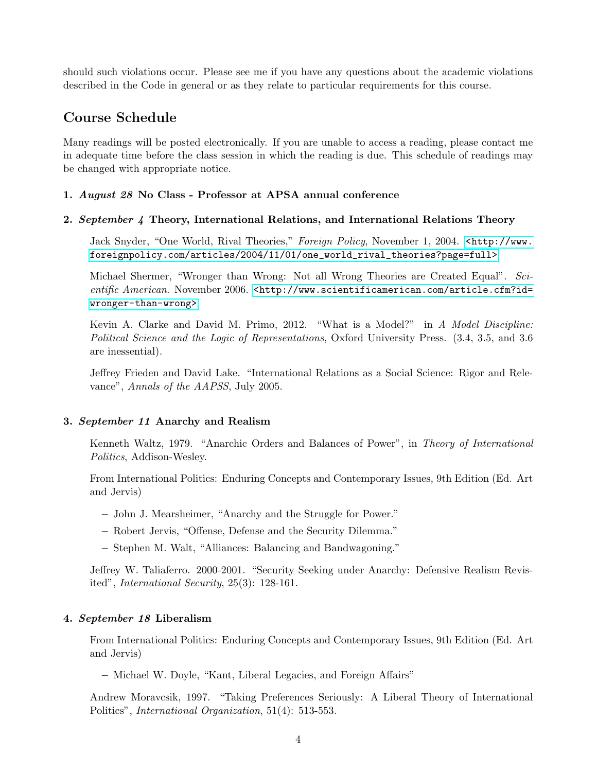should such violations occur. Please see me if you have any questions about the academic violations described in the Code in general or as they relate to particular requirements for this course.

### Course Schedule

Many readings will be posted electronically. If you are unable to access a reading, please contact me in adequate time before the class session in which the reading is due. This schedule of readings may be changed with appropriate notice.

#### 1. August 28 No Class - Professor at APSA annual conference

#### 2. September 4 Theory, International Relations, and International Relations Theory

Jack Snyder, "One World, Rival Theories," Foreign Policy, November 1, 2004. [<http://www.](<http://www.foreignpolicy.com/articles/2004/11/01/one_world_rival_theories?page=full>) [foreignpolicy.com/articles/2004/11/01/one\\_world\\_rival\\_theories?page=full>](<http://www.foreignpolicy.com/articles/2004/11/01/one_world_rival_theories?page=full>)

Michael Shermer, "Wronger than Wrong: Not all Wrong Theories are Created Equal". Sci-entific American. November 2006. [<http://www.scientificamerican.com/article.cfm?id=](<http://www.scientificamerican.com/article.cfm?id=wronger-than-wrong>) [wronger-than-wrong>](<http://www.scientificamerican.com/article.cfm?id=wronger-than-wrong>)

Kevin A. Clarke and David M. Primo, 2012. "What is a Model?" in A Model Discipline: Political Science and the Logic of Representations, Oxford University Press. (3.4, 3.5, and 3.6 are inessential).

Jeffrey Frieden and David Lake. "International Relations as a Social Science: Rigor and Relevance", Annals of the AAPSS, July 2005.

#### 3. September 11 Anarchy and Realism

Kenneth Waltz, 1979. "Anarchic Orders and Balances of Power", in Theory of International Politics, Addison-Wesley.

From International Politics: Enduring Concepts and Contemporary Issues, 9th Edition (Ed. Art and Jervis)

- John J. Mearsheimer, "Anarchy and the Struggle for Power."
- Robert Jervis, "Offense, Defense and the Security Dilemma."
- Stephen M. Walt, "Alliances: Balancing and Bandwagoning."

Jeffrey W. Taliaferro. 2000-2001. "Security Seeking under Anarchy: Defensive Realism Revisited", International Security, 25(3): 128-161.

#### 4. September 18 Liberalism

From International Politics: Enduring Concepts and Contemporary Issues, 9th Edition (Ed. Art and Jervis)

– Michael W. Doyle, "Kant, Liberal Legacies, and Foreign Affairs"

Andrew Moravcsik, 1997. "Taking Preferences Seriously: A Liberal Theory of International Politics", International Organization, 51(4): 513-553.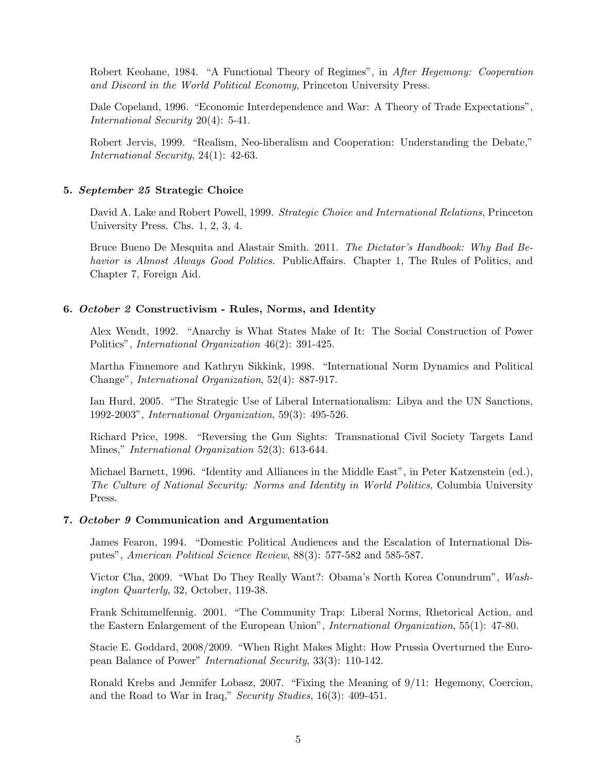Robert Keohane, 1984. "A Functional Theory of Regimes", in After Hegemony: Cooperation and Discord in the World Political Economy, Princeton University Press.

Dale Copeland, 1996. "Economic Interdependence and War: A Theory of Trade Expectations", International Security 20(4): 5-41.

Robert Jervis, 1999. "Realism, Neo-liberalism and Cooperation: Understanding the Debate," International Security, 24(1): 42-63.

#### 5. September 25 Strategic Choice

David A. Lake and Robert Powell, 1999. Strategic Choice and International Relations, Princeton University Press. Chs. 1, 2, 3, 4.

Bruce Bueno De Mesquita and Alastair Smith. 2011. The Dictator's Handbook: Why Bad Behavior is Almost Always Good Politics. PublicAffairs. Chapter 1, The Rules of Politics, and Chapter 7, Foreign Aid.

#### 6. October 2 Constructivism - Rules, Norms, and Identity

Alex Wendt, 1992. "Anarchy is What States Make of It: The Social Construction of Power Politics", International Organization 46(2): 391-425.

Martha Finnemore and Kathryn Sikkink, 1998. "International Norm Dynamics and Political Change", International Organization, 52(4): 887-917.

Ian Hurd, 2005. "The Strategic Use of Liberal Internationalism: Libya and the UN Sanctions, 1992-2003", International Organization, 59(3): 495-526.

Richard Price, 1998. "Reversing the Gun Sights: Transnational Civil Society Targets Land Mines," International Organization 52(3): 613-644.

Michael Barnett, 1996. "Identity and Alliances in the Middle East", in Peter Katzenstein (ed.), The Culture of National Security: Norms and Identity in World Politics, Columbia University Press.

#### 7. October 9 Communication and Argumentation

James Fearon, 1994. "Domestic Political Audiences and the Escalation of International Disputes", American Political Science Review, 88(3): 577-582 and 585-587.

Victor Cha, 2009. "What Do They Really Want?: Obama's North Korea Conundrum", Washington Quarterly, 32, October, 119-38.

Frank Schimmelfennig. 2001. "The Community Trap: Liberal Norms, Rhetorical Action, and the Eastern Enlargement of the European Union", International Organization, 55(1): 47-80.

Stacie E. Goddard, 2008/2009. "When Right Makes Might: How Prussia Overturned the European Balance of Power" International Security, 33(3): 110-142.

Ronald Krebs and Jennifer Lobasz, 2007. "Fixing the Meaning of 9/11: Hegemony, Coercion, and the Road to War in Iraq," Security Studies, 16(3): 409-451.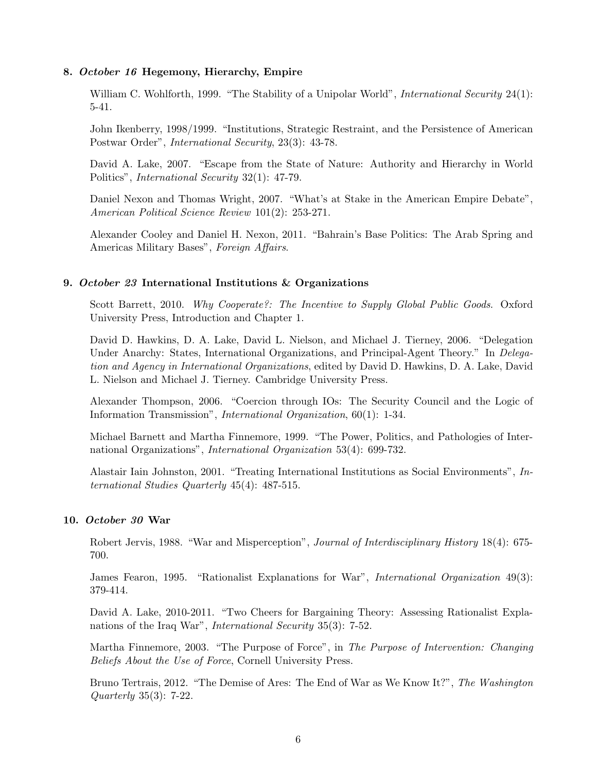#### 8. October 16 Hegemony, Hierarchy, Empire

William C. Wohlforth, 1999. "The Stability of a Unipolar World", International Security 24(1): 5-41.

John Ikenberry, 1998/1999. "Institutions, Strategic Restraint, and the Persistence of American Postwar Order", International Security, 23(3): 43-78.

David A. Lake, 2007. "Escape from the State of Nature: Authority and Hierarchy in World Politics", International Security 32(1): 47-79.

Daniel Nexon and Thomas Wright, 2007. "What's at Stake in the American Empire Debate", American Political Science Review 101(2): 253-271.

Alexander Cooley and Daniel H. Nexon, 2011. "Bahrain's Base Politics: The Arab Spring and Americas Military Bases", Foreign Affairs.

#### 9. October 23 International Institutions & Organizations

Scott Barrett, 2010. Why Cooperate?: The Incentive to Supply Global Public Goods. Oxford University Press, Introduction and Chapter 1.

David D. Hawkins, D. A. Lake, David L. Nielson, and Michael J. Tierney, 2006. "Delegation Under Anarchy: States, International Organizations, and Principal-Agent Theory." In Delegation and Agency in International Organizations, edited by David D. Hawkins, D. A. Lake, David L. Nielson and Michael J. Tierney. Cambridge University Press.

Alexander Thompson, 2006. "Coercion through IOs: The Security Council and the Logic of Information Transmission", International Organization, 60(1): 1-34.

Michael Barnett and Martha Finnemore, 1999. "The Power, Politics, and Pathologies of International Organizations", International Organization 53(4): 699-732.

Alastair Iain Johnston, 2001. "Treating International Institutions as Social Environments", International Studies Quarterly 45(4): 487-515.

#### 10. October 30 War

Robert Jervis, 1988. "War and Misperception", Journal of Interdisciplinary History 18(4): 675- 700.

James Fearon, 1995. "Rationalist Explanations for War", International Organization 49(3): 379-414.

David A. Lake, 2010-2011. "Two Cheers for Bargaining Theory: Assessing Rationalist Explanations of the Iraq War", International Security 35(3): 7-52.

Martha Finnemore, 2003. "The Purpose of Force", in The Purpose of Intervention: Changing Beliefs About the Use of Force, Cornell University Press.

Bruno Tertrais, 2012. "The Demise of Ares: The End of War as We Know It?", The Washington Quarterly 35(3): 7-22.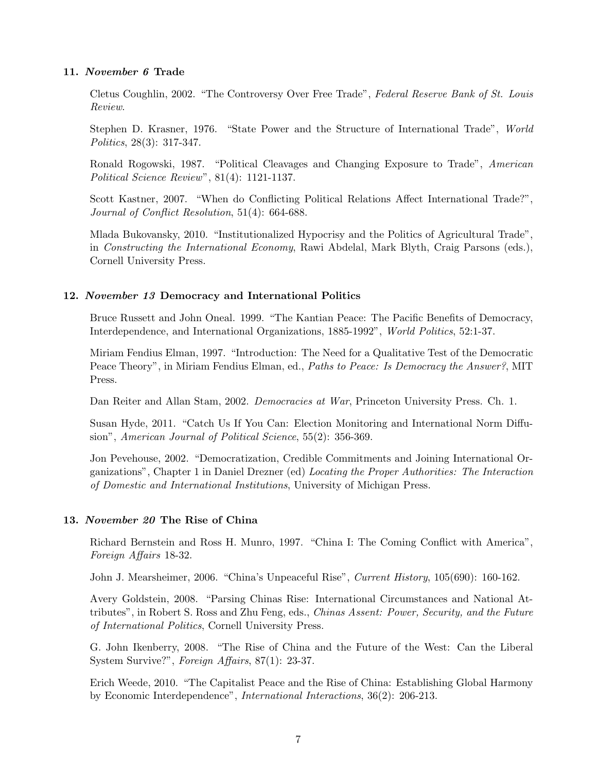#### 11. November 6 Trade

Cletus Coughlin, 2002. "The Controversy Over Free Trade", Federal Reserve Bank of St. Louis Review.

Stephen D. Krasner, 1976. "State Power and the Structure of International Trade", World Politics, 28(3): 317-347.

Ronald Rogowski, 1987. "Political Cleavages and Changing Exposure to Trade", American Political Science Review", 81(4): 1121-1137.

Scott Kastner, 2007. "When do Conflicting Political Relations Affect International Trade?", Journal of Conflict Resolution, 51(4): 664-688.

Mlada Bukovansky, 2010. "Institutionalized Hypocrisy and the Politics of Agricultural Trade", in Constructing the International Economy, Rawi Abdelal, Mark Blyth, Craig Parsons (eds.), Cornell University Press.

#### 12. November 13 Democracy and International Politics

Bruce Russett and John Oneal. 1999. "The Kantian Peace: The Pacific Benefits of Democracy, Interdependence, and International Organizations, 1885-1992", World Politics, 52:1-37.

Miriam Fendius Elman, 1997. "Introduction: The Need for a Qualitative Test of the Democratic Peace Theory", in Miriam Fendius Elman, ed., Paths to Peace: Is Democracy the Answer?, MIT Press.

Dan Reiter and Allan Stam, 2002. *Democracies at War*, Princeton University Press. Ch. 1.

Susan Hyde, 2011. "Catch Us If You Can: Election Monitoring and International Norm Diffusion", American Journal of Political Science, 55(2): 356-369.

Jon Pevehouse, 2002. "Democratization, Credible Commitments and Joining International Organizations", Chapter 1 in Daniel Drezner (ed) Locating the Proper Authorities: The Interaction of Domestic and International Institutions, University of Michigan Press.

#### 13. November 20 The Rise of China

Richard Bernstein and Ross H. Munro, 1997. "China I: The Coming Conflict with America", Foreign Affairs 18-32.

John J. Mearsheimer, 2006. "China's Unpeaceful Rise", Current History, 105(690): 160-162.

Avery Goldstein, 2008. "Parsing Chinas Rise: International Circumstances and National Attributes", in Robert S. Ross and Zhu Feng, eds., Chinas Assent: Power, Security, and the Future of International Politics, Cornell University Press.

G. John Ikenberry, 2008. "The Rise of China and the Future of the West: Can the Liberal System Survive?", Foreign Affairs, 87(1): 23-37.

Erich Weede, 2010. "The Capitalist Peace and the Rise of China: Establishing Global Harmony by Economic Interdependence", International Interactions, 36(2): 206-213.